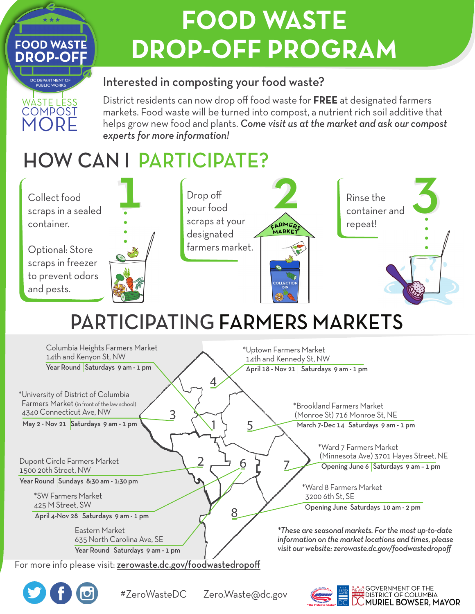# **FOOD WASTE DROP-OFF PROGRAM**

#### Interested in composting your food waste?

District residents can now drop off food waste for **FREE** at designated farmers markets. Food waste will be turned into compost, a nutrient rich soil additive that helps grow new food and plants. *Come visit us at the market and ask our compost experts for more information!* 

### HOW CAN I PARTICIPATE?



## PARTICIPATING FARMERS MARKETS

| Columbia Heights Farmers Market<br>14th and Kenyon St, NW<br>Year Round Saturdays 9 am - 1 pm                                                                                  | *Uptown Farmers Market<br>14th and Kennedy St, NW<br>April 18 - Nov 21   Saturdays 9 am - 1 pm<br>4                                                                                                   |
|--------------------------------------------------------------------------------------------------------------------------------------------------------------------------------|-------------------------------------------------------------------------------------------------------------------------------------------------------------------------------------------------------|
| *University of District of Columbia<br>Farmers Market (in front of the law school)<br>4340 Connecticut Ave, NW<br>3<br>May 2 - Nov 21 Saturdays 9 am - 1 pm                    | *Brookland Farmers Market<br>(Monroe St) 716 Monroe St, NE<br>5<br>March 7-Dec 14 Saturdays 9 am - 1 pm                                                                                               |
| Dupont Circle Farmers Market<br>1500 20th Street, NW<br>Year Round Sundays 8:30 am - 1:30 pm<br>*SW Farmers Market<br>425 M Street, SW<br>April 4-Nov 28 Saturdays 9 am - 1 pm | *Ward 7 Farmers Market<br>(Minnesota Ave) 3701 Hayes Street, NE<br>6<br>Opening June 6 Saturdays 9 am - 1 pm<br>*Ward 8 Farmers Market<br>3200 6th St, SE<br>Opening June Saturdays 10 am - 2 pm<br>8 |
| Eastern Market<br>635 North Carolina Ave, SE<br>Year Round Saturdays 9 am - 1 pm<br>For more info please visit: zerowaste.dc.gov/foodwastedropoff                              | *These are seasonal markets. For the most up-to-date<br>information on the market locations and times, please<br>visit our website: zerowaste.dc.gov/foodwastedropoff                                 |
|                                                                                                                                                                                |                                                                                                                                                                                                       |



WASTE LESS **COMPOST** ORE

DC DEPARTMENT OF **PUBLIC WORK** 

**FOOD WASTE DROP-OFF**